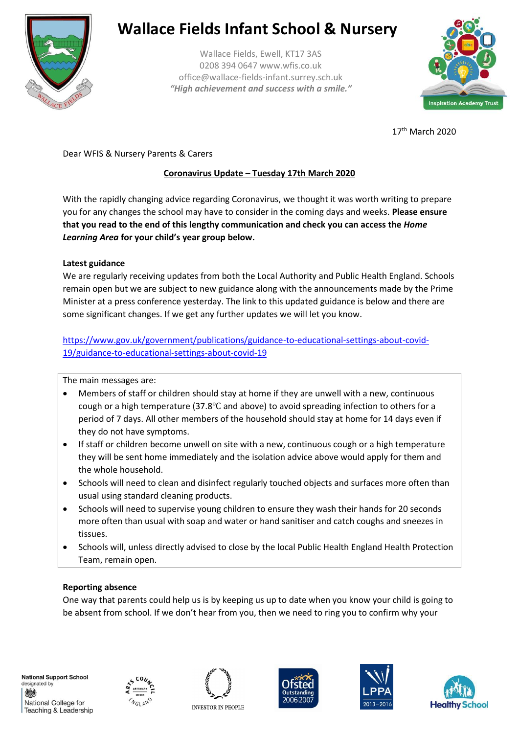

# **Wallace Fields Infant School & Nursery**

Wallace Fields, Ewell, KT17 3AS 0208 394 0647 www.wfis.co.uk office@wallace-fields-infant.surrey.sch.uk *"High achievement and success with a smile."*



17th March 2020

Dear WFIS & Nursery Parents & Carers

# **Coronavirus Update – Tuesday 17th March 2020**

With the rapidly changing advice regarding Coronavirus, we thought it was worth writing to prepare you for any changes the school may have to consider in the coming days and weeks. **Please ensure that you read to the end of this lengthy communication and check you can access the** *Home Learning Area* **for your child's year group below.**

### **Latest guidance**

We are regularly receiving updates from both the Local Authority and Public Health England. Schools remain open but we are subject to new guidance along with the announcements made by the Prime Minister at a press conference yesterday. The link to this updated guidance is below and there are some significant changes. If we get any further updates we will let you know.

[https://www.gov.uk/government/publications/guidance-to-educational-settings-about-covid-](https://www.gov.uk/government/publications/guidance-to-educational-settings-about-covid-19/guidance-to-educational-settings-about-covid-19)[19/guidance-to-educational-settings-about-covid-19](https://www.gov.uk/government/publications/guidance-to-educational-settings-about-covid-19/guidance-to-educational-settings-about-covid-19)

The main messages are:

- Members of staff or children should stay at home if they are unwell with a new, continuous cough or a high temperature (37.8℃ and above) to avoid spreading infection to others for a period of 7 days. All other members of the household should stay at home for 14 days even if they do not have symptoms.
- If staff or children become unwell on site with a new, continuous cough or a high temperature they will be sent home immediately and the isolation advice above would apply for them and the whole household.
- Schools will need to clean and disinfect regularly touched objects and surfaces more often than usual using standard cleaning products.
- Schools will need to supervise young children to ensure they wash their hands for 20 seconds more often than usual with soap and water or hand sanitiser and catch coughs and sneezes in tissues.
- Schools will, unless directly advised to close by the local Public Health England Health Protection Team, remain open.

## **Reporting absence**

One way that parents could help us is by keeping us up to date when you know your child is going to be absent from school. If we don't hear from you, then we need to ring you to confirm why your









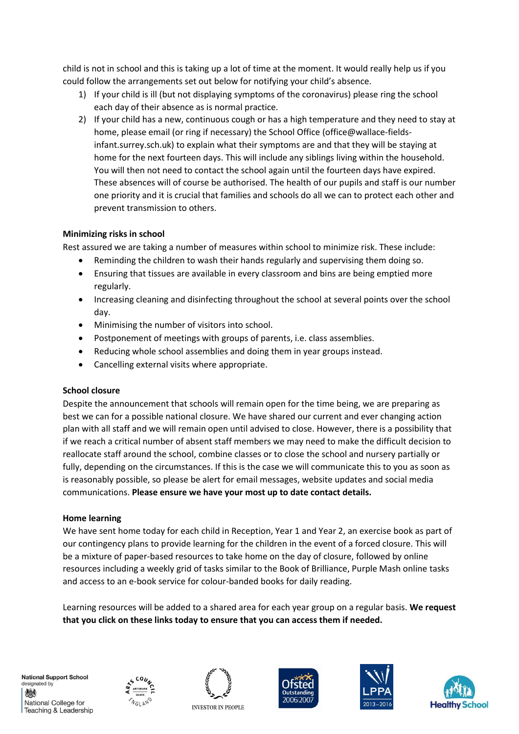child is not in school and this is taking up a lot of time at the moment. It would really help us if you could follow the arrangements set out below for notifying your child's absence.

- 1) If your child is ill (but not displaying symptoms of the coronavirus) please ring the school each day of their absence as is normal practice.
- 2) If your child has a new, continuous cough or has a high temperature and they need to stay at home, please email (or ring if necessary) the School Office (office@wallace-fieldsinfant.surrey.sch.uk) to explain what their symptoms are and that they will be staying at home for the next fourteen days. This will include any siblings living within the household. You will then not need to contact the school again until the fourteen days have expired. These absences will of course be authorised. The health of our pupils and staff is our number one priority and it is crucial that families and schools do all we can to protect each other and prevent transmission to others.

### **Minimizing risks in school**

Rest assured we are taking a number of measures within school to minimize risk. These include:

- Reminding the children to wash their hands regularly and supervising them doing so.
- Ensuring that tissues are available in every classroom and bins are being emptied more regularly.
- Increasing cleaning and disinfecting throughout the school at several points over the school day.
- Minimising the number of visitors into school.
- Postponement of meetings with groups of parents, i.e. class assemblies.
- Reducing whole school assemblies and doing them in year groups instead.
- Cancelling external visits where appropriate.

#### **School closure**

Despite the announcement that schools will remain open for the time being, we are preparing as best we can for a possible national closure. We have shared our current and ever changing action plan with all staff and we will remain open until advised to close. However, there is a possibility that if we reach a critical number of absent staff members we may need to make the difficult decision to reallocate staff around the school, combine classes or to close the school and nursery partially or fully, depending on the circumstances. If this is the case we will communicate this to you as soon as is reasonably possible, so please be alert for email messages, website updates and social media communications. **Please ensure we have your most up to date contact details.**

#### **Home learning**

We have sent home today for each child in Reception, Year 1 and Year 2, an exercise book as part of our contingency plans to provide learning for the children in the event of a forced closure. This will be a mixture of paper-based resources to take home on the day of closure, followed by online resources including a weekly grid of tasks similar to the Book of Brilliance, Purple Mash online tasks and access to an e-book service for colour-banded books for daily reading.

Learning resources will be added to a shared area for each year group on a regular basis. **We request that you click on these links today to ensure that you can access them if needed.**